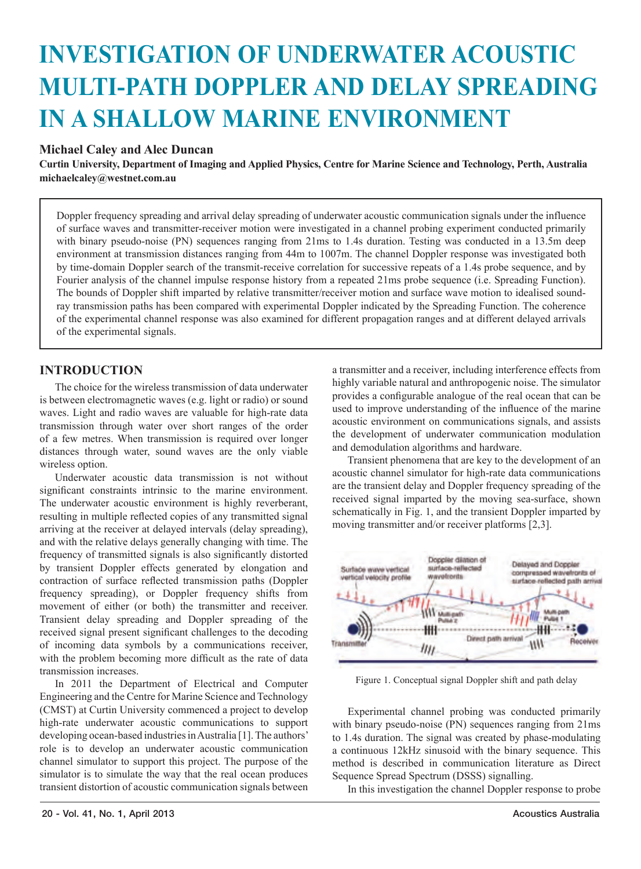# **INVESTIGATION OF UNDERWATER ACOUSTIC MULTI-PATH DOPPLER AND DELAY SPREADING IN A SHALLOW MARINE ENVIRONMENT**

## **Michael Caley and Alec Duncan**

**Curtin University, Department of Imaging and Applied Physics, Centre for Marine Science and Technology, Perth, Australia michaelcaley@westnet.com.au**

Doppler frequency spreading and arrival delay spreading of underwater acoustic communication signals under the influence of surface waves and transmitter-receiver motion were investigated in a channel probing experiment conducted primarily with binary pseudo-noise (PN) sequences ranging from 21ms to 1.4s duration. Testing was conducted in a 13.5m deep environment at transmission distances ranging from 44m to 1007m. The channel Doppler response was investigated both by time-domain Doppler search of the transmit-receive correlation for successive repeats of a 1.4s probe sequence, and by Fourier analysis of the channel impulse response history from a repeated 21ms probe sequence (i.e. Spreading Function). The bounds of Doppler shift imparted by relative transmitter/receiver motion and surface wave motion to idealised soundray transmission paths has been compared with experimental Doppler indicated by the Spreading Function. The coherence of the experimental channel response was also examined for different propagation ranges and at different delayed arrivals of the experimental signals.

## **INTRODUCTION**

The choice for the wireless transmission of data underwater is between electromagnetic waves (e.g. light or radio) or sound waves. Light and radio waves are valuable for high-rate data transmission through water over short ranges of the order of a few metres. When transmission is required over longer distances through water, sound waves are the only viable wireless option.

Underwater acoustic data transmission is not without significant constraints intrinsic to the marine environment. The underwater acoustic environment is highly reverberant resulting in multiple reflected copies of any transmitted signal arriving at the receiver at delayed intervals (delay spreading), and with the relative delays generally changing with time. The frequency of transmitted signals is also significantly distorted by transient Doppler effects generated by elongation and contraction of surface reflected transmission paths (Doppler frequency spreading), or Doppler frequency shifts from movement of either (or both) the transmitter and receiver. Transient delay spreading and Doppler spreading of the received signal present significant challenges to the decoding of incoming data symbols by a communications receiver, with the problem becoming more difficult as the rate of data transmission increases.

In 2011 the Department of Electrical and Computer Engineering and the Centre for Marine Science and Technology (CMST) at Curtin University commenced a project to develop high-rate underwater acoustic communications to support developing ocean-based industries in Australia [1]. The authors' role is to develop an underwater acoustic communication channel simulator to support this project. The purpose of the simulator is to simulate the way that the real ocean produces transient distortion of acoustic communication signals between a transmitter and a receiver, including interference effects from highly variable natural and anthropogenic noise. The simulator provides a configurable analogue of the real ocean that can be used to improve understanding of the influence of the marine acoustic environment on communications signals, and assists the development of underwater communication modulation and demodulation algorithms and hardware.

Transient phenomena that are key to the development of an acoustic channel simulator for high-rate data communications are the transient delay and Doppler frequency spreading of the received signal imparted by the moving sea-surface, shown schematically in Fig. 1, and the transient Doppler imparted by moving transmitter and/or receiver platforms [2,3].



Figure 1. Conceptual signal Doppler shift and path delay

Experimental channel probing was conducted primarily with binary pseudo-noise (PN) sequences ranging from 21ms to 1.4s duration. The signal was created by phase-modulating a continuous 12kHz sinusoid with the binary sequence. This method is described in communication literature as Direct Sequence Spread Spectrum (DSSS) signalling.

In this investigation the channel Doppler response to probe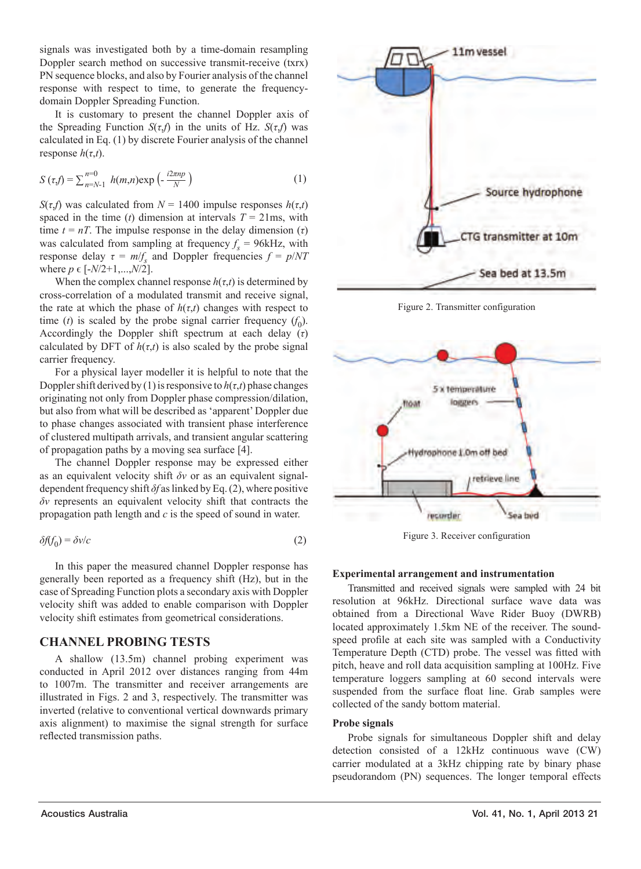signals was investigated both by a time-domain resampling Doppler search method on successive transmit-receive (txrx) PN sequence blocks, and also by Fourier analysis of the channel response with respect to time, to generate the frequencydomain Doppler Spreading Function.

It is customary to present the channel Doppler axis of the Spreading Function *S*(*τ*,*f*) in the units of Hz. *S*(*τ*,*f*) was calculated in Eq. (1) by discrete Fourier analysis of the channel response *h*(*τ*,*t*).

$$
S\left(\tau_{s}f\right) = \sum_{n=N-1}^{n=0} h(m,n) \exp\left(-\frac{i2\pi np}{N}\right) \tag{1}
$$

*S*( $\tau$ ,*f*) was calculated from *N* = 1400 impulse responses *h*( $\tau$ ,*t*) spaced in the time (*t*) dimension at intervals  $T = 21$ ms, with time  $t = nT$ . The impulse response in the delay dimension  $(τ)$ was calculated from sampling at frequency  $f_s = 96$ kHz, with response delay  $\tau = m/f_s$  and Doppler frequencies  $f = p/NT$ where  $p \in [-N/2+1,...,N/2]$ .

When the complex channel response  $h(\tau,t)$  is determined by cross-correlation of a modulated transmit and receive signal, the rate at which the phase of  $h(\tau,t)$  changes with respect to time (*t*) is scaled by the probe signal carrier frequency  $(f_0)$ . Accordingly the Doppler shift spectrum at each delay (*τ*) calculated by DFT of  $h(\tau,t)$  is also scaled by the probe signal carrier frequency.

For a physical layer modeller it is helpful to note that the Doppler shift derived by (1) is responsive to  $h(\tau,t)$  phase changes originating not only from Doppler phase compression/dilation, but also from what will be described as 'apparent' Doppler due to phase changes associated with transient phase interference of clustered multipath arrivals, and transient angular scattering of propagation paths by a moving sea surface [4].

The channel Doppler response may be expressed either as an equivalent velocity shift *δv* or as an equivalent signaldependent frequency shift *δf* as linked by Eq. (2), where positive *δv* represents an equivalent velocity shift that contracts the propagation path length and *c* is the speed of sound in water.

$$
\delta f(f_0) = \delta v/c \tag{2}
$$

In this paper the measured channel Doppler response has generally been reported as a frequency shift (Hz), but in the case of Spreading Function plots a secondary axis with Doppler velocity shift was added to enable comparison with Doppler velocity shift estimates from geometrical considerations.

## **CHANNEL PROBING TESTS**

A shallow (13.5m) channel probing experiment was conducted in April 2012 over distances ranging from 44m to 1007m. The transmitter and receiver arrangements are illustrated in Figs. 2 and 3, respectively. The transmitter was inverted (relative to conventional vertical downwards primary axis alignment) to maximise the signal strength for surface reflected transmission paths.



Figure 2. Transmitter configuration



Figure 3. Receiver configuration

#### **Experimental arrangement and instrumentation**

Transmitted and received signals were sampled with 24 bit resolution at 96kHz. Directional surface wave data was obtained from a Directional Wave Rider Buoy (DWRB) located approximately 1.5km NE of the receiver. The soundspeed profile at each site was sampled with a Conductivity Temperature Depth (CTD) probe. The vessel was fitted with pitch, heave and roll data acquisition sampling at 100Hz. Five temperature loggers sampling at 60 second intervals were suspended from the surface float line. Grab samples were collected of the sandy bottom material.

#### **Probe signals**

Probe signals for simultaneous Doppler shift and delay detection consisted of a 12kHz continuous wave (CW) carrier modulated at a 3kHz chipping rate by binary phase pseudorandom (PN) sequences. The longer temporal effects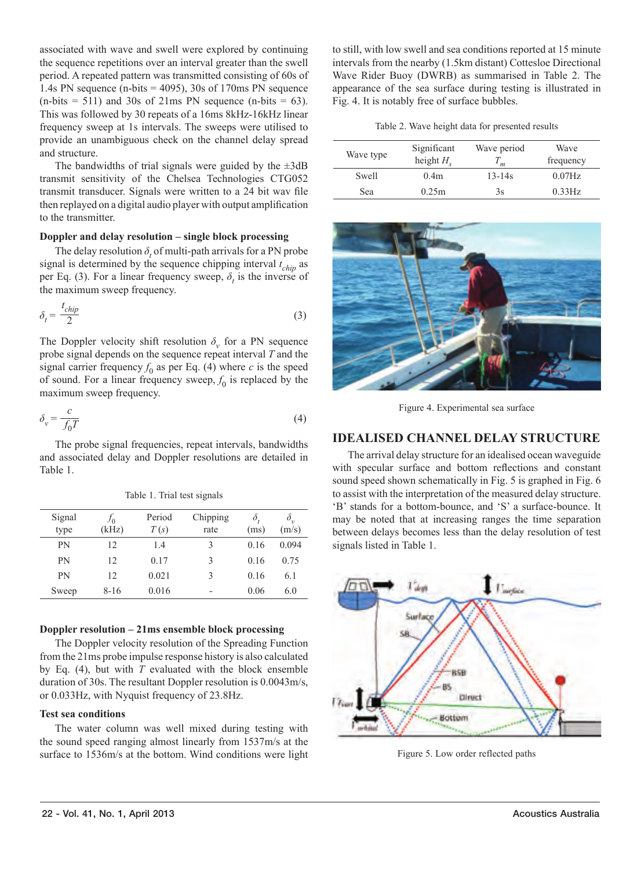associated with wave and swell were explored by continuing the sequence repetitions over an interval greater than the swell period. A repeated pattern was transmitted consisting of 60s of 1.4s PN sequence (n-bits  $=$  4095), 30s of 170ms PN sequence  $(n-bits = 511)$  and 30s of 21ms PN sequence  $(n-bits = 63)$ . This was followed by 30 repeats of a 16ms 8kHz-16kHz linear frequency sweep at 1s intervals. The sweeps were utilised to provide an unambiguous check on the channel delay spread and structure.

The bandwidths of trial signals were guided by the  $\pm 3$ dB transmit sensitivity of the Chelsea Technologies CTG052 transmit transducer. Signals were written to a 24 bit way file then replayed on a digital audio player with output amplification to the transmitter.

#### **Doppler and delay resolution – single block processing**

The delay resolution  $\delta$ , of multi-path arrivals for a PN probe signal is determined by the sequence chipping interval *t chip* as per Eq. (3). For a linear frequency sweep,  $\delta_t$  is the inverse of the maximum sweep frequency.

$$
\delta_t = \frac{t_{chip}}{2} \tag{3}
$$

The Doppler velocity shift resolution  $\delta$ <sup>*v*</sup> for a PN sequence probe signal depends on the sequence repeat interval *T* and the signal carrier frequency  $f_0$  as per Eq. (4) where  $c$  is the speed of sound. For a linear frequency sweep,  $f_0$  is replaced by the maximum sweep frequency.

$$
\delta_{\nu} = \frac{c}{f_0 T} \tag{4}
$$

The probe signal frequencies, repeat intervals, bandwidths and associated delay and Doppler resolutions are detailed in Table 1.

|  |  | Table 1. Trial test signals |
|--|--|-----------------------------|
|  |  |                             |

| Signal<br>type | Jo<br>(kHz) | Period<br>T(s) | Chipping<br>rate | δ<br>(ms) | $\delta_{\cdot\cdot}$<br>(m/s) |
|----------------|-------------|----------------|------------------|-----------|--------------------------------|
| PN             | 12          | 1.4            | 3                | 016       | 0.094                          |
| PN             | 12          | 0.17           | 3                | 0.16      | 0.75                           |
| PN             | 12          | 0.021          | 3                | 016       | 6.1                            |
| Sweep          | $8 - 16$    | 0.016          | ۰                | 0.06      | 6.0                            |

#### **Doppler resolution – 21ms ensemble block processing**

The Doppler velocity resolution of the Spreading Function from the 21ms probe impulse response history is also calculated by Eq. (4), but with  $\hat{T}$  evaluated with the block ensemble duration of 30s. The resultant Doppler resolution is 0.0043m/s, or 0.033Hz, with Nyquist frequency of 23.8Hz.

## **Test sea conditions**

The water column was well mixed during testing with the sound speed ranging almost linearly from 1537m/s at the surface to 1536m/s at the bottom. Wind conditions were light to still, with low swell and sea conditions reported at 15 minute intervals from the nearby (1.5km distant) Cottesloe Directional Wave Rider Buoy (DWRB) as summarised in Table 2. The appearance of the sea surface during testing is illustrated in Fig. 4. It is notably free of surface bubbles.

Table 2. Wave height data for presented results

| Wave type | Significant<br>height $H$ | Wave period | Wave<br>frequency |
|-----------|---------------------------|-------------|-------------------|
| Swell     | 0.4 <sub>m</sub>          | $13 - 14s$  | $0.07$ Hz         |
| Sea       | 0.25m                     | 3s          | $0.33$ Hz         |



Figure 4. Experimental sea surface

## **IDEALISED CHANNEL DELAY STRUCTURE**

The arrival delay structure for an idealised ocean waveguide with specular surface and bottom reflections and constant sound speed shown schematically in Fig. 5 is graphed in Fig. 6 to assist with the interpretation of the measured delay structure. 'B' stands for a bottom-bounce, and 'S' a surface-bounce. It may be noted that at increasing ranges the time separation between delays becomes less than the delay resolution of test signals listed in Table 1.



Figure 5. Low order reflected paths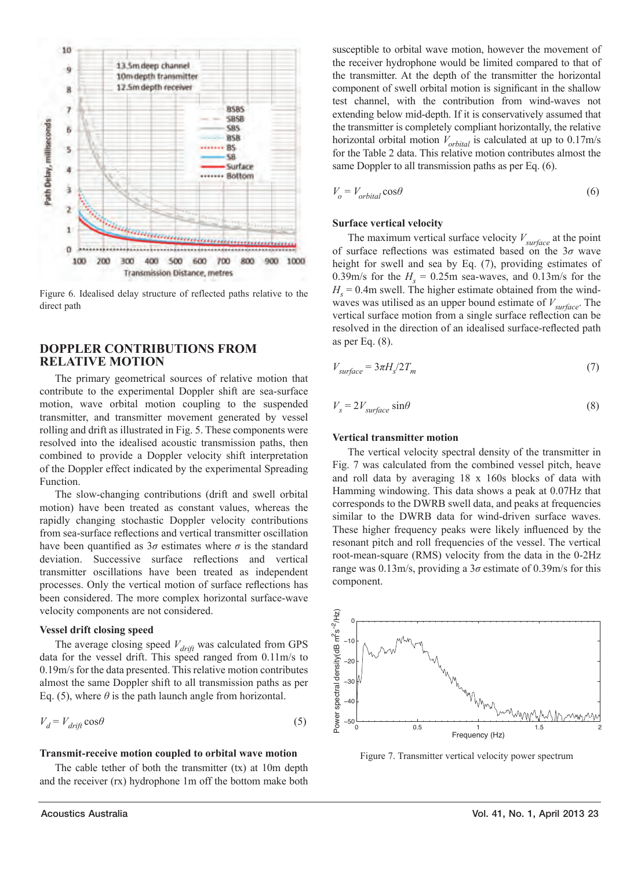

Figure 6. Idealised delay structure of reflected paths relative to the direct path

## **DOPPLER CONTRIBUTIONS FROM RELATIVE MOTION**

The primary geometrical sources of relative motion that contribute to the experimental Doppler shift are sea-surface motion, wave orbital motion coupling to the suspended transmitter, and transmitter movement generated by vessel rolling and drift as illustrated in Fig. 5. These components were resolved into the idealised acoustic transmission paths, then combined to provide a Doppler velocity shift interpretation of the Doppler effect indicated by the experimental Spreading Function.

The slow-changing contributions (drift and swell orbital motion) have been treated as constant values, whereas the rapidly changing stochastic Doppler velocity contributions from sea-surface reflections and vertical transmitter oscillation have been quantified as  $3\sigma$  estimates where  $\sigma$  is the standard deviation. Successive surface reflections and vertical transmitter oscillations have been treated as independent processes. Only the vertical motion of surface reflections has been considered. The more complex horizontal surface-wave velocity components are not considered.

#### **Vessel drift closing speed**

The average closing speed  $V_{drift}$  was calculated from GPS data for the vessel drift. This speed ranged from 0.11m/s to 0.19m/s for the data presented. This relative motion contributes almost the same Doppler shift to all transmission paths as per Eq. (5), where  $\theta$  is the path launch angle from horizontal.

$$
V_d = V_{drift} \cos \theta \tag{5}
$$

#### **Transmit-receive motion coupled to orbital wave motion**

The cable tether of both the transmitter (tx) at 10m depth and the receiver (rx) hydrophone 1m off the bottom make both

susceptible to orbital wave motion, however the movement of the receiver hydrophone would be limited compared to that of the transmitter. At the depth of the transmitter the horizontal component of swell orbital motion is significant in the shallow test channel, with the contribution from wind-waves not extending below mid-depth. If it is conservatively assumed that the transmitter is completely compliant horizontally, the relative horizontal orbital motion  $V_{orbital}$  is calculated at up to 0.17m/s for the Table 2 data. This relative motion contributes almost the same Doppler to all transmission paths as per Eq. (6).

$$
V_o = V_{orbital} \cos \theta \tag{6}
$$

#### **Surface vertical velocity**

The maximum vertical surface velocity *Vsurface* at the point of surface refl ections was estimated based on the 3*σ* wave height for swell and sea by Eq. (7), providing estimates of 0.39m/s for the  $H_s = 0.25$ m sea-waves, and 0.13m/s for the  $H<sub>s</sub>$  = 0.4m swell. The higher estimate obtained from the windwaves was utilised as an upper bound estimate of  $V_{surface}$ . The vertical surface motion from a single surface reflection can be resolved in the direction of an idealised surface-reflected path as per Eq. (8).

$$
V_{surface} = 3\pi H_s / 2T_m \tag{7}
$$

$$
V_s = 2V_{surface} \sin\theta \tag{8}
$$

#### **Vertical transmitter motion**

The vertical velocity spectral density of the transmitter in Fig. 7 was calculated from the combined vessel pitch, heave and roll data by averaging 18 x 160s blocks of data with Hamming windowing. This data shows a peak at 0.07Hz that corresponds to the DWRB swell data, and peaks at frequencies similar to the DWRB data for wind-driven surface waves. These higher frequency peaks were likely influenced by the resonant pitch and roll frequencies of the vessel. The vertical root-mean-square (RMS) velocity from the data in the 0-2Hz range was 0.13m/s, providing a 3*σ* estimate of 0.39m/s for this component.



Figure 7. Transmitter vertical velocity power spectrum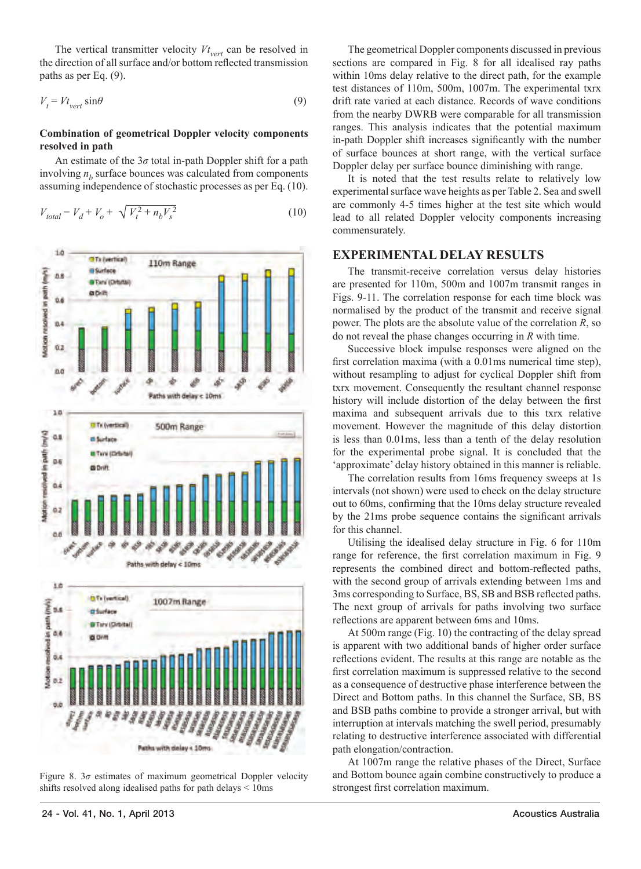The vertical transmitter velocity  $Vt_{vert}$  can be resolved in the direction of all surface and/or bottom reflected transmission paths as per Eq. (9).

$$
V_t = V t_{\text{vert}} \sin \theta \tag{9}
$$

#### **Combination of geometrical Doppler velocity components resolved in path**

An estimate of the 3*σ* total in-path Doppler shift for a path involving *n<sub>b</sub>* surface bounces was calculated from components assuming independence of stochastic processes as per Eq. (10).

$$
V_{total} = V_d + V_o + \sqrt{V_t^2 + n_b V_s^2}
$$
 (10)





The geometrical Doppler components discussed in previous sections are compared in Fig. 8 for all idealised ray paths within 10ms delay relative to the direct path, for the example test distances of 110m, 500m, 1007m. The experimental txrx drift rate varied at each distance. Records of wave conditions from the nearby DWRB were comparable for all transmission ranges. This analysis indicates that the potential maximum in-path Doppler shift increases significantly with the number of surface bounces at short range, with the vertical surface Doppler delay per surface bounce diminishing with range.

It is noted that the test results relate to relatively low experimental surface wave heights as per Table 2. Sea and swell are commonly 4-5 times higher at the test site which would lead to all related Doppler velocity components increasing commensurately.

## **EXPERIMENTAL DELAY RESULTS**

The transmit-receive correlation versus delay histories are presented for 110m, 500m and 1007m transmit ranges in Figs. 9-11. The correlation response for each time block was normalised by the product of the transmit and receive signal power. The plots are the absolute value of the correlation *R*, so do not reveal the phase changes occurring in *R* with time.

Successive block impulse responses were aligned on the first correlation maxima (with a 0.01ms numerical time step), without resampling to adjust for cyclical Doppler shift from txrx movement. Consequently the resultant channel response history will include distortion of the delay between the first maxima and subsequent arrivals due to this txrx relative movement. However the magnitude of this delay distortion is less than 0.01ms, less than a tenth of the delay resolution for the experimental probe signal. It is concluded that the 'approximate' delay history obtained in this manner is reliable.

The correlation results from 16ms frequency sweeps at 1s intervals (not shown) were used to check on the delay structure out to 60ms, confirming that the 10ms delay structure revealed by the 21ms probe sequence contains the significant arrivals for this channel.

Utilising the idealised delay structure in Fig. 6 for 110m range for reference, the first correlation maximum in Fig. 9 represents the combined direct and bottom-reflected paths, with the second group of arrivals extending between 1ms and 3ms corresponding to Surface, BS, SB and BSB reflected paths. The next group of arrivals for paths involving two surface reflections are apparent between 6ms and 10ms.

At 500m range (Fig. 10) the contracting of the delay spread is apparent with two additional bands of higher order surface reflections evident. The results at this range are notable as the first correlation maximum is suppressed relative to the second as a consequence of destructive phase interference between the Direct and Bottom paths. In this channel the Surface, SB, BS and BSB paths combine to provide a stronger arrival, but with interruption at intervals matching the swell period, presumably relating to destructive interference associated with differential path elongation/contraction.

At 1007m range the relative phases of the Direct, Surface and Bottom bounce again combine constructively to produce a strongest first correlation maximum.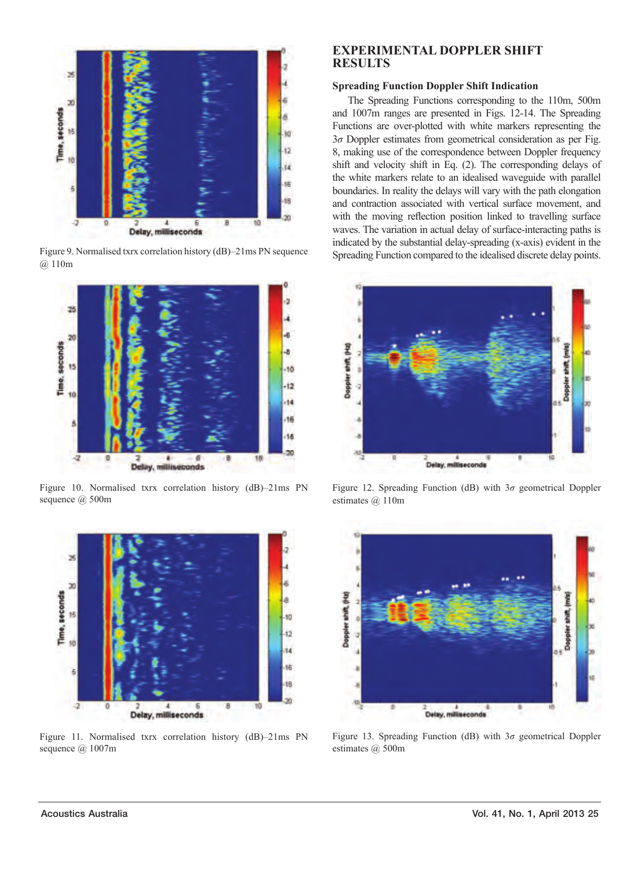

Figure 9. Normalised txrx correlation history (dB)–21ms PN sequence @ 110m



Figure 10. Normalised txrx correlation history (dB)–21ms PN sequence @ 500m



Figure 11. Normalised txrx correlation history (dB)–21ms PN sequence @ 1007m

## **EXPERIMENTAL DOPPLER SHIFT RESULTS**

## **Spreading Function Doppler Shift Indication**

The Spreading Functions corresponding to the 110m, 500m and 1007m ranges are presented in Figs. 12-14. The Spreading Functions are over-plotted with white markers representing the 3*σ* Doppler estimates from geometrical consideration as per Fig. 8, making use of the correspondence between Doppler frequency shift and velocity shift in Eq. (2). The corresponding delays of the white markers relate to an idealised waveguide with parallel boundaries. In reality the delays will vary with the path elongation and contraction associated with vertical surface movement, and with the moving reflection position linked to travelling surface waves. The variation in actual delay of surface-interacting paths is indicated by the substantial delay-spreading (x-axis) evident in the Spreading Function compared to the idealised discrete delay points.



Figure 12. Spreading Function (dB) with 3*σ* geometrical Doppler estimates @ 110m



Figure 13. Spreading Function (dB) with 3*σ* geometrical Doppler estimates @ 500m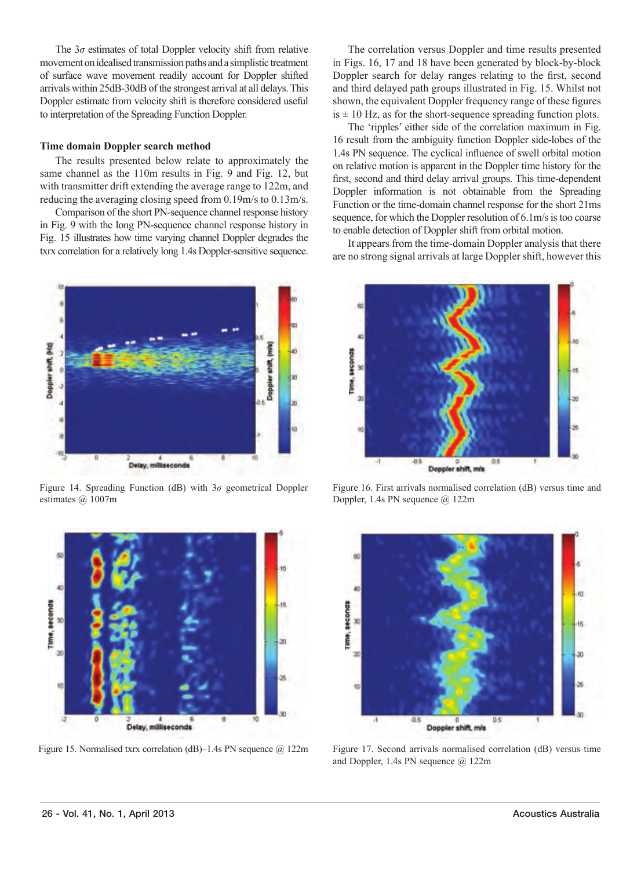The 3*σ* estimates of total Doppler velocity shift from relative movement on idealised transmission paths and a simplistic treatment of surface wave movement readily account for Doppler shifted arrivals within 25dB-30dB of the strongest arrival at all delays. This Doppler estimate from velocity shift is therefore considered useful to interpretation of the Spreading Function Doppler.

#### **Time domain Doppler search method**

The results presented below relate to approximately the same channel as the 110m results in Fig. 9 and Fig. 12, but with transmitter drift extending the average range to 122m, and reducing the averaging closing speed from 0.19m/s to 0.13m/s.

Comparison of the short PN-sequence channel response history in Fig. 9 with the long PN-sequence channel response history in Fig. 15 illustrates how time varying channel Doppler degrades the txrx correlation for a relatively long 1.4s Doppler-sensitive sequence.



Figure 14. Spreading Function (dB) with 3*σ* geometrical Doppler estimates @ 1007m



Figure 15. Normalised txrx correlation (dB)–1.4s PN sequence @ 122m

The correlation versus Doppler and time results presented in Figs. 16, 17 and 18 have been generated by block-by-block Doppler search for delay ranges relating to the first, second and third delayed path groups illustrated in Fig. 15. Whilst not shown, the equivalent Doppler frequency range of these figures  $is \pm 10$  Hz, as for the short-sequence spreading function plots.

The 'ripples' either side of the correlation maximum in Fig. 16 result from the ambiguity function Doppler side-lobes of the 1.4s PN sequence. The cyclical influence of swell orbital motion on relative motion is apparent in the Doppler time history for the first, second and third delay arrival groups. This time-dependent Doppler information is not obtainable from the Spreading Function or the time-domain channel response for the short 21ms sequence, for which the Doppler resolution of 6.1m/s is too coarse to enable detection of Doppler shift from orbital motion.

It appears from the time-domain Doppler analysis that there are no strong signal arrivals at large Doppler shift, however this



Figure 16. First arrivals normalised correlation (dB) versus time and Doppler, 1.4s PN sequence @ 122m



Figure 17. Second arrivals normalised correlation (dB) versus time and Doppler, 1.4s PN sequence @ 122m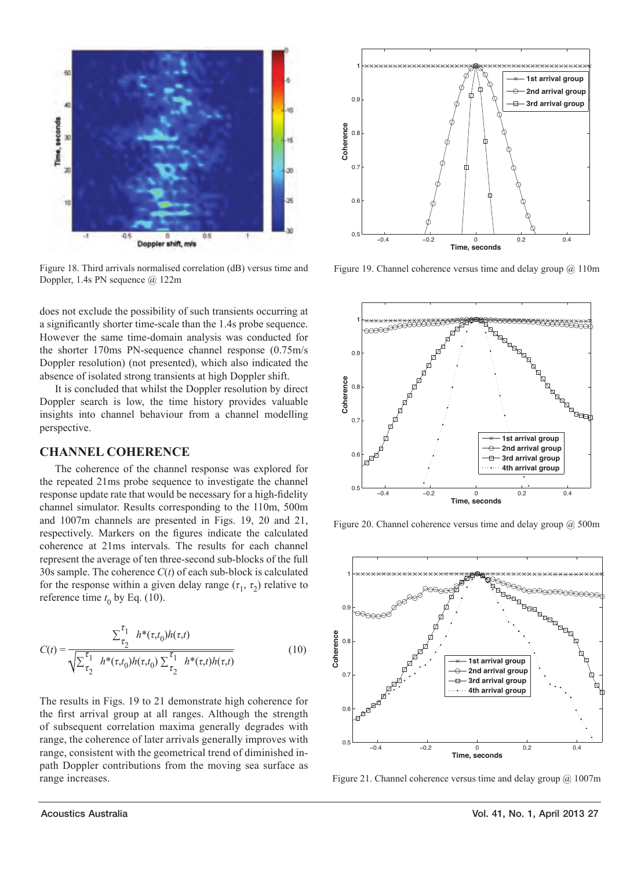

Figure 18. Third arrivals normalised correlation (dB) versus time and Doppler, 1.4s PN sequence @ 122m

does not exclude the possibility of such transients occurring at a significantly shorter time-scale than the 1.4s probe sequence. However the same time-domain analysis was conducted for the shorter 170ms PN-sequence channel response (0.75m/s Doppler resolution) (not presented), which also indicated the absence of isolated strong transients at high Doppler shift.

It is concluded that whilst the Doppler resolution by direct Doppler search is low, the time history provides valuable insights into channel behaviour from a channel modelling perspective.

## **CHANNEL COHERENCE**

The coherence of the channel response was explored for the repeated 21ms probe sequence to investigate the channel response update rate that would be necessary for a high-fidelity channel simulator. Results corresponding to the 110m, 500m and 1007m channels are presented in Figs. 19, 20 and 21, respectively. Markers on the figures indicate the calculated coherence at 21ms intervals. The results for each channel represent the average of ten three-second sub-blocks of the full 30s sample. The coherence *C*(*t*) of each sub-block is calculated for the response within a given delay range  $(\tau_1, \tau_2)$  relative to reference time  $t_0$  by Eq. (10).

$$
C(t)=\frac{\sum_{\tau_2}^{\tau_1}~h^*(\tau,t_0)h(\tau,t)}{\sqrt{\sum_{\tau_2}^{\tau_1}~h^*(\tau,t_0)h(\tau,t_0)\sum_{\tau_2}^{\tau_1}~h^*(\tau,t)h(\tau,t)}}\eqno(10)
$$

The results in Figs. 19 to 21 demonstrate high coherence for the first arrival group at all ranges. Although the strength of subsequent correlation maxima generally degrades with range, the coherence of later arrivals generally improves with range, consistent with the geometrical trend of diminished inpath Doppler contributions from the moving sea surface as range increases.



Figure 19. Channel coherence versus time and delay group  $@$  110m



Figure 20. Channel coherence versus time and delay group @ 500m



Figure 21. Channel coherence versus time and delay group @ 1007m